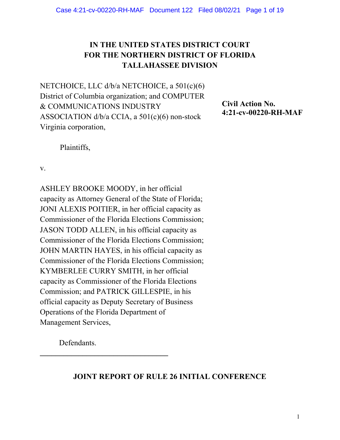# **IN THE UNITED STATES DISTRICT COURT FOR THE NORTHERN DISTRICT OF FLORIDA TALLAHASSEE DIVISION**

NETCHOICE, LLC d/b/a NETCHOICE, a 501(c)(6) District of Columbia organization; and COMPUTER & COMMUNICATIONS INDUSTRY ASSOCIATION d/b/a CCIA, a 501(c)(6) non-stock Virginia corporation,

**Civil Action No. 4:21-cv-00220-RH-MAF** 

Plaintiffs,

v.

ASHLEY BROOKE MOODY, in her official capacity as Attorney General of the State of Florida; JONI ALEXIS POITIER, in her official capacity as Commissioner of the Florida Elections Commission; JASON TODD ALLEN, in his official capacity as Commissioner of the Florida Elections Commission; JOHN MARTIN HAYES, in his official capacity as Commissioner of the Florida Elections Commission; KYMBERLEE CURRY SMITH, in her official capacity as Commissioner of the Florida Elections Commission; and PATRICK GILLESPIE, in his official capacity as Deputy Secretary of Business Operations of the Florida Department of Management Services,

Defendants.

**JOINT REPORT OF RULE 26 INITIAL CONFERENCE**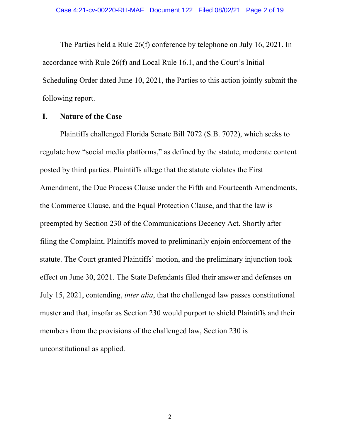The Parties held a Rule 26(f) conference by telephone on July 16, 2021. In accordance with Rule 26(f) and Local Rule 16.1, and the Court's Initial Scheduling Order dated June 10, 2021, the Parties to this action jointly submit the following report.

#### **I. Nature of the Case**

Plaintiffs challenged Florida Senate Bill 7072 (S.B. 7072), which seeks to regulate how "social media platforms," as defined by the statute, moderate content posted by third parties. Plaintiffs allege that the statute violates the First Amendment, the Due Process Clause under the Fifth and Fourteenth Amendments, the Commerce Clause, and the Equal Protection Clause, and that the law is preempted by Section 230 of the Communications Decency Act. Shortly after filing the Complaint, Plaintiffs moved to preliminarily enjoin enforcement of the statute. The Court granted Plaintiffs' motion, and the preliminary injunction took effect on June 30, 2021. The State Defendants filed their answer and defenses on July 15, 2021, contending, *inter alia*, that the challenged law passes constitutional muster and that, insofar as Section 230 would purport to shield Plaintiffs and their members from the provisions of the challenged law, Section 230 is unconstitutional as applied.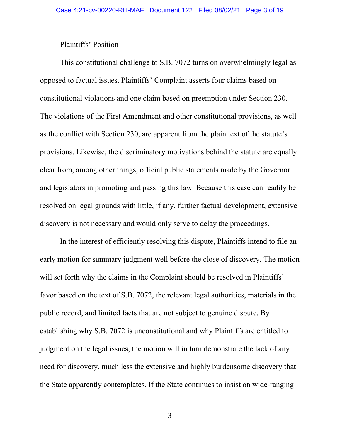#### Plaintiffs' Position

This constitutional challenge to S.B. 7072 turns on overwhelmingly legal as opposed to factual issues. Plaintiffs' Complaint asserts four claims based on constitutional violations and one claim based on preemption under Section 230. The violations of the First Amendment and other constitutional provisions, as well as the conflict with Section 230, are apparent from the plain text of the statute's provisions. Likewise, the discriminatory motivations behind the statute are equally clear from, among other things, official public statements made by the Governor and legislators in promoting and passing this law. Because this case can readily be resolved on legal grounds with little, if any, further factual development, extensive discovery is not necessary and would only serve to delay the proceedings.

In the interest of efficiently resolving this dispute, Plaintiffs intend to file an early motion for summary judgment well before the close of discovery. The motion will set forth why the claims in the Complaint should be resolved in Plaintiffs' favor based on the text of S.B. 7072, the relevant legal authorities, materials in the public record, and limited facts that are not subject to genuine dispute. By establishing why S.B. 7072 is unconstitutional and why Plaintiffs are entitled to judgment on the legal issues, the motion will in turn demonstrate the lack of any need for discovery, much less the extensive and highly burdensome discovery that the State apparently contemplates. If the State continues to insist on wide-ranging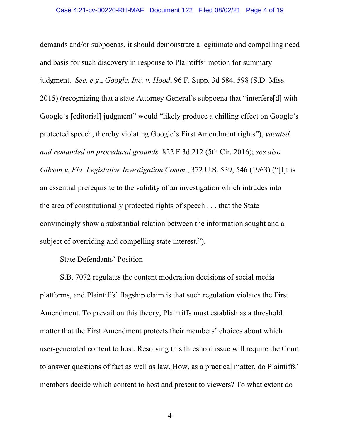demands and/or subpoenas, it should demonstrate a legitimate and compelling need and basis for such discovery in response to Plaintiffs' motion for summary judgment. *See, e.g*., *Google, Inc. v. Hood*, 96 F. Supp. 3d 584, 598 (S.D. Miss. 2015) (recognizing that a state Attorney General's subpoena that "interfere[d] with Google's [editorial] judgment" would "likely produce a chilling effect on Google's protected speech, thereby violating Google's First Amendment rights"), *vacated and remanded on procedural grounds,* 822 F.3d 212 (5th Cir. 2016); *see also Gibson v. Fla. Legislative Investigation Comm.*, 372 U.S. 539, 546 (1963) ("[I]t is an essential prerequisite to the validity of an investigation which intrudes into the area of constitutionally protected rights of speech . . . that the State convincingly show a substantial relation between the information sought and a subject of overriding and compelling state interest.").

#### State Defendants' Position

S.B. 7072 regulates the content moderation decisions of social media platforms, and Plaintiffs' flagship claim is that such regulation violates the First Amendment. To prevail on this theory, Plaintiffs must establish as a threshold matter that the First Amendment protects their members' choices about which user-generated content to host. Resolving this threshold issue will require the Court to answer questions of fact as well as law. How, as a practical matter, do Plaintiffs' members decide which content to host and present to viewers? To what extent do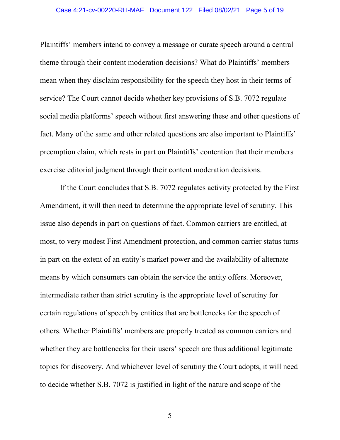Plaintiffs' members intend to convey a message or curate speech around a central theme through their content moderation decisions? What do Plaintiffs' members mean when they disclaim responsibility for the speech they host in their terms of service? The Court cannot decide whether key provisions of S.B. 7072 regulate social media platforms' speech without first answering these and other questions of fact. Many of the same and other related questions are also important to Plaintiffs' preemption claim, which rests in part on Plaintiffs' contention that their members exercise editorial judgment through their content moderation decisions.

If the Court concludes that S.B. 7072 regulates activity protected by the First Amendment, it will then need to determine the appropriate level of scrutiny. This issue also depends in part on questions of fact. Common carriers are entitled, at most, to very modest First Amendment protection, and common carrier status turns in part on the extent of an entity's market power and the availability of alternate means by which consumers can obtain the service the entity offers. Moreover, intermediate rather than strict scrutiny is the appropriate level of scrutiny for certain regulations of speech by entities that are bottlenecks for the speech of others. Whether Plaintiffs' members are properly treated as common carriers and whether they are bottlenecks for their users' speech are thus additional legitimate topics for discovery. And whichever level of scrutiny the Court adopts, it will need to decide whether S.B. 7072 is justified in light of the nature and scope of the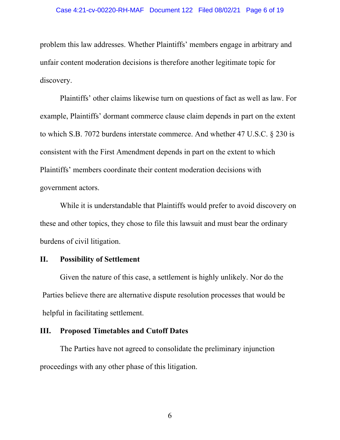problem this law addresses. Whether Plaintiffs' members engage in arbitrary and unfair content moderation decisions is therefore another legitimate topic for discovery.

Plaintiffs' other claims likewise turn on questions of fact as well as law. For example, Plaintiffs' dormant commerce clause claim depends in part on the extent to which S.B. 7072 burdens interstate commerce. And whether 47 U.S.C. § 230 is consistent with the First Amendment depends in part on the extent to which Plaintiffs' members coordinate their content moderation decisions with government actors.

While it is understandable that Plaintiffs would prefer to avoid discovery on these and other topics, they chose to file this lawsuit and must bear the ordinary burdens of civil litigation.

### **II. Possibility of Settlement**

Given the nature of this case, a settlement is highly unlikely. Nor do the Parties believe there are alternative dispute resolution processes that would be helpful in facilitating settlement.

### **III. Proposed Timetables and Cutoff Dates**

The Parties have not agreed to consolidate the preliminary injunction proceedings with any other phase of this litigation.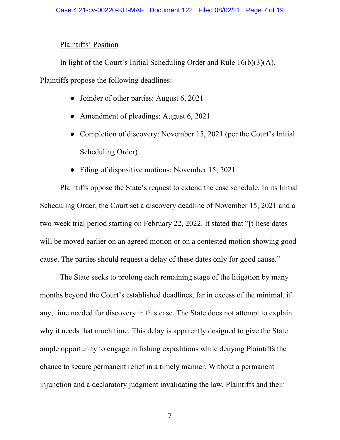### Plaintiffs' Position

In light of the Court's Initial Scheduling Order and Rule 16(b)(3)(A),

Plaintiffs propose the following deadlines:

- Joinder of other parties: August 6, 2021
- Amendment of pleadings: August 6, 2021
- Completion of discovery: November 15, 2021 (per the Court's Initial Scheduling Order)
- Filing of dispositive motions: November 15, 2021

Plaintiffs oppose the State's request to extend the case schedule. In its Initial Scheduling Order, the Court set a discovery deadline of November 15, 2021 and a two-week trial period starting on February 22, 2022. It stated that "[t]hese dates will be moved earlier on an agreed motion or on a contested motion showing good cause. The parties should request a delay of these dates only for good cause."

The State seeks to prolong each remaining stage of the litigation by many months beyond the Court's established deadlines, far in excess of the minimal, if any, time needed for discovery in this case. The State does not attempt to explain why it needs that much time. This delay is apparently designed to give the State ample opportunity to engage in fishing expeditions while denying Plaintiffs the chance to secure permanent relief in a timely manner. Without a permanent injunction and a declaratory judgment invalidating the law, Plaintiffs and their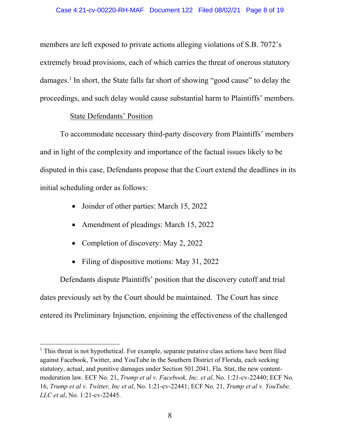members are left exposed to private actions alleging violations of S.B. 7072's extremely broad provisions, each of which carries the threat of onerous statutory damages.<sup>1</sup> In short, the State falls far short of showing "good cause" to delay the proceedings, and such delay would cause substantial harm to Plaintiffs' members.

### State Defendants' Position

 $\overline{a}$ 

To accommodate necessary third-party discovery from Plaintiffs' members and in light of the complexity and importance of the factual issues likely to be disputed in this case, Defendants propose that the Court extend the deadlines in its initial scheduling order as follows:

- Joinder of other parties: March 15, 2022
- Amendment of pleadings: March 15, 2022
- Completion of discovery: May 2, 2022
- Filing of dispositive motions: May 31, 2022

Defendants dispute Plaintiffs' position that the discovery cutoff and trial dates previously set by the Court should be maintained. The Court has since entered its Preliminary Injunction, enjoining the effectiveness of the challenged

<sup>&</sup>lt;sup>1</sup> This threat is not hypothetical. For example, separate putative class actions have been filed against Facebook, Twitter, and YouTube in the Southern District of Florida, each seeking statutory, actual, and punitive damages under Section 501.2041, Fla. Stat, the new contentmoderation law. ECF No. 21, *Trump et al v. Facebook, Inc. et al*, No. 1:21-cv-22440; ECF No. 16, *Trump et al v. Twitter, Inc et al*, No. 1:21-cv-22441; ECF No. 21, *Trump et al v. YouTube, LLC et al*, No. 1:21-cv-22445.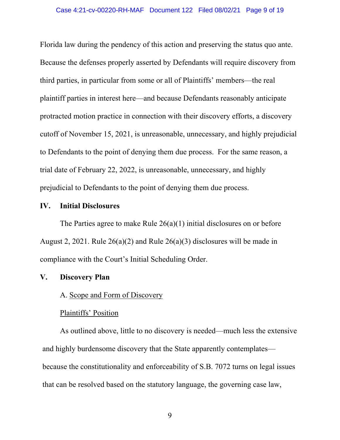Florida law during the pendency of this action and preserving the status quo ante. Because the defenses properly asserted by Defendants will require discovery from third parties, in particular from some or all of Plaintiffs' members—the real plaintiff parties in interest here—and because Defendants reasonably anticipate protracted motion practice in connection with their discovery efforts, a discovery cutoff of November 15, 2021, is unreasonable, unnecessary, and highly prejudicial to Defendants to the point of denying them due process. For the same reason, a trial date of February 22, 2022, is unreasonable, unnecessary, and highly prejudicial to Defendants to the point of denying them due process.

### **IV. Initial Disclosures**

The Parties agree to make Rule  $26(a)(1)$  initial disclosures on or before August 2, 2021. Rule 26(a)(2) and Rule 26(a)(3) disclosures will be made in compliance with the Court's Initial Scheduling Order.

### **V. Discovery Plan**

### A. Scope and Form of Discovery

## Plaintiffs' Position

As outlined above, little to no discovery is needed—much less the extensive and highly burdensome discovery that the State apparently contemplates because the constitutionality and enforceability of S.B. 7072 turns on legal issues that can be resolved based on the statutory language, the governing case law,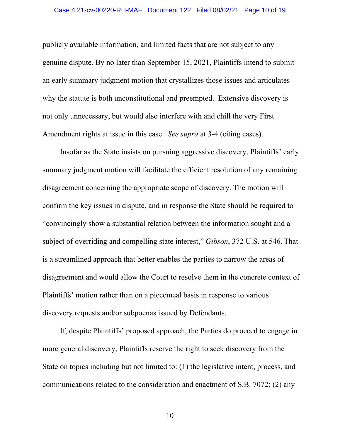publicly available information, and limited facts that are not subject to any genuine dispute. By no later than September 15, 2021, Plaintiffs intend to submit an early summary judgment motion that crystallizes those issues and articulates why the statute is both unconstitutional and preempted. Extensive discovery is not only unnecessary, but would also interfere with and chill the very First Amendment rights at issue in this case. *See supra* at 3-4 (citing cases).

Insofar as the State insists on pursuing aggressive discovery, Plaintiffs' early summary judgment motion will facilitate the efficient resolution of any remaining disagreement concerning the appropriate scope of discovery. The motion will confirm the key issues in dispute, and in response the State should be required to "convincingly show a substantial relation between the information sought and a subject of overriding and compelling state interest," *Gibson*, 372 U.S. at 546. That is a streamlined approach that better enables the parties to narrow the areas of disagreement and would allow the Court to resolve them in the concrete context of Plaintiffs' motion rather than on a piecemeal basis in response to various discovery requests and/or subpoenas issued by Defendants.

If, despite Plaintiffs' proposed approach, the Parties do proceed to engage in more general discovery, Plaintiffs reserve the right to seek discovery from the State on topics including but not limited to: (1) the legislative intent, process, and communications related to the consideration and enactment of S.B. 7072; (2) any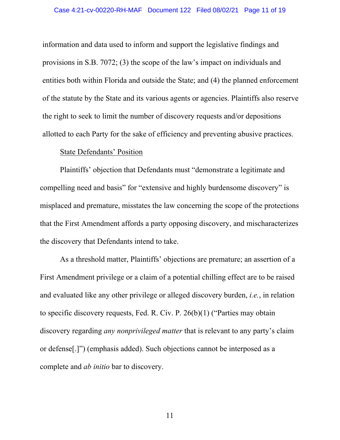information and data used to inform and support the legislative findings and provisions in S.B. 7072; (3) the scope of the law's impact on individuals and entities both within Florida and outside the State; and (4) the planned enforcement of the statute by the State and its various agents or agencies. Plaintiffs also reserve the right to seek to limit the number of discovery requests and/or depositions allotted to each Party for the sake of efficiency and preventing abusive practices.

#### State Defendants' Position

Plaintiffs' objection that Defendants must "demonstrate a legitimate and compelling need and basis" for "extensive and highly burdensome discovery" is misplaced and premature, misstates the law concerning the scope of the protections that the First Amendment affords a party opposing discovery, and mischaracterizes the discovery that Defendants intend to take.

As a threshold matter, Plaintiffs' objections are premature; an assertion of a First Amendment privilege or a claim of a potential chilling effect are to be raised and evaluated like any other privilege or alleged discovery burden, *i.e.*, in relation to specific discovery requests, Fed. R. Civ. P. 26(b)(1) ("Parties may obtain discovery regarding *any nonprivileged matter* that is relevant to any party's claim or defense[.]") (emphasis added). Such objections cannot be interposed as a complete and *ab initio* bar to discovery.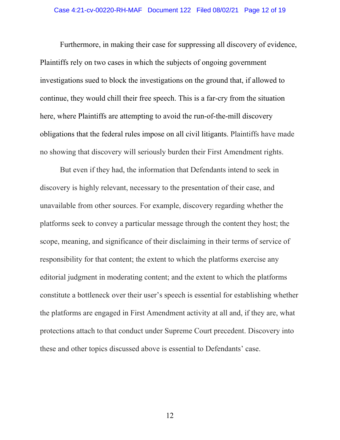Furthermore, in making their case for suppressing all discovery of evidence, Plaintiffs rely on two cases in which the subjects of ongoing government investigations sued to block the investigations on the ground that, if allowed to continue, they would chill their free speech. This is a far-cry from the situation here, where Plaintiffs are attempting to avoid the run-of-the-mill discovery obligations that the federal rules impose on all civil litigants. Plaintiffs have made no showing that discovery will seriously burden their First Amendment rights.

But even if they had, the information that Defendants intend to seek in discovery is highly relevant, necessary to the presentation of their case, and unavailable from other sources. For example, discovery regarding whether the platforms seek to convey a particular message through the content they host; the scope, meaning, and significance of their disclaiming in their terms of service of responsibility for that content; the extent to which the platforms exercise any editorial judgment in moderating content; and the extent to which the platforms constitute a bottleneck over their user's speech is essential for establishing whether the platforms are engaged in First Amendment activity at all and, if they are, what protections attach to that conduct under Supreme Court precedent. Discovery into these and other topics discussed above is essential to Defendants' case.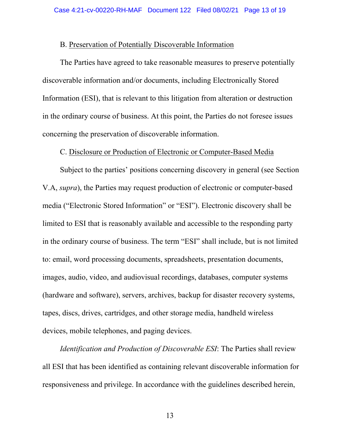#### B. Preservation of Potentially Discoverable Information

The Parties have agreed to take reasonable measures to preserve potentially discoverable information and/or documents, including Electronically Stored Information (ESI), that is relevant to this litigation from alteration or destruction in the ordinary course of business. At this point, the Parties do not foresee issues concerning the preservation of discoverable information.

#### C. Disclosure or Production of Electronic or Computer-Based Media

Subject to the parties' positions concerning discovery in general (see Section V.A, *supra*), the Parties may request production of electronic or computer-based media ("Electronic Stored Information" or "ESI"). Electronic discovery shall be limited to ESI that is reasonably available and accessible to the responding party in the ordinary course of business. The term "ESI" shall include, but is not limited to: email, word processing documents, spreadsheets, presentation documents, images, audio, video, and audiovisual recordings, databases, computer systems (hardware and software), servers, archives, backup for disaster recovery systems, tapes, discs, drives, cartridges, and other storage media, handheld wireless devices, mobile telephones, and paging devices.

*Identification and Production of Discoverable ESI*: The Parties shall review all ESI that has been identified as containing relevant discoverable information for responsiveness and privilege. In accordance with the guidelines described herein,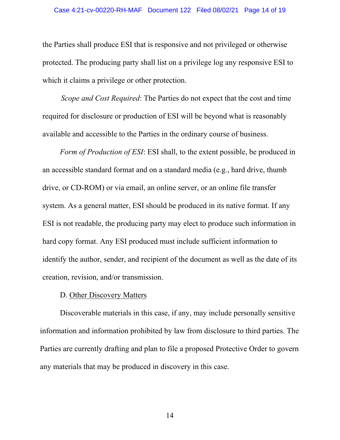the Parties shall produce ESI that is responsive and not privileged or otherwise protected. The producing party shall list on a privilege log any responsive ESI to which it claims a privilege or other protection.

*Scope and Cost Required*: The Parties do not expect that the cost and time required for disclosure or production of ESI will be beyond what is reasonably available and accessible to the Parties in the ordinary course of business.

*Form of Production of ESI*: ESI shall, to the extent possible, be produced in an accessible standard format and on a standard media (e.g., hard drive, thumb drive, or CD-ROM) or via email, an online server, or an online file transfer system. As a general matter, ESI should be produced in its native format. If any ESI is not readable, the producing party may elect to produce such information in hard copy format. Any ESI produced must include sufficient information to identify the author, sender, and recipient of the document as well as the date of its creation, revision, and/or transmission.

### D. Other Discovery Matters

Discoverable materials in this case, if any, may include personally sensitive information and information prohibited by law from disclosure to third parties. The Parties are currently drafting and plan to file a proposed Protective Order to govern any materials that may be produced in discovery in this case.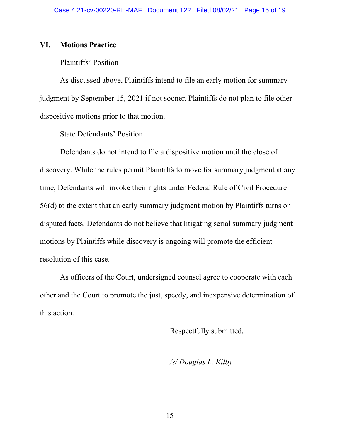### **VI. Motions Practice**

### Plaintiffs' Position

As discussed above, Plaintiffs intend to file an early motion for summary judgment by September 15, 2021 if not sooner. Plaintiffs do not plan to file other dispositive motions prior to that motion.

### State Defendants' Position

 Defendants do not intend to file a dispositive motion until the close of discovery. While the rules permit Plaintiffs to move for summary judgment at any time, Defendants will invoke their rights under Federal Rule of Civil Procedure 56(d) to the extent that an early summary judgment motion by Plaintiffs turns on disputed facts. Defendants do not believe that litigating serial summary judgment motions by Plaintiffs while discovery is ongoing will promote the efficient resolution of this case.

As officers of the Court, undersigned counsel agree to cooperate with each other and the Court to promote the just, speedy, and inexpensive determination of this action.

Respectfully submitted,

*/s/ Douglas L. Kilby*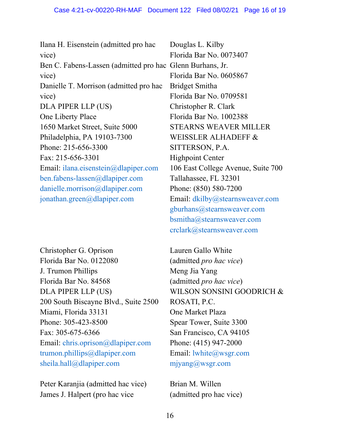| Ilana H. Eisenstein (admitted pro hac           | Douglas 1      |
|-------------------------------------------------|----------------|
| vice)                                           | Florida B      |
| Ben C. Fabens-Lassen (admitted pro hac Glenn Bu |                |
| vice)                                           | Florida B      |
| Danielle T. Morrison (admitted pro hac)         | Bridget S      |
| vice)                                           | Florida B      |
| DLA PIPER LLP (US)                              | Christoph      |
| One Liberty Place                               | Florida B      |
| 1650 Market Street, Suite 5000                  | <b>STEARN</b>  |
| Philadelphia, PA 19103-7300                     | <b>WEISSL</b>  |
| Phone: 215-656-3300                             | <b>SITTERS</b> |
| Fax: 215-656-3301                               | Highpoin       |
| Email: ilana.eisenstein@dlapiper.com            | $106$ East     |
| ben.fabens-lassen $@$ dlapiper.com              | Tallahass      |
| danielle.morrison@dlapiper.com                  | Phone: (8)     |
| jonathan.green@dlapiper.com                     | Email: dk      |
|                                                 |                |

Christopher G. Oprison Florida Bar No. 0122080 J. Trumon Phillips Florida Bar No. 84568 DLA PIPER LLP (US) 200 South Biscayne Blvd., Suite 2500 Miami, Florida 33131 Phone: 305-423-8500 Fax: 305-675-6366 Email: chris.oprison@dlapiper.com trumon.phillips@dlapiper.com sheila.hall@dlapiper.com

Peter Karanjia (admitted hac vice) James J. Halpert (pro hac vice

L. Kilby ar No. 0073407 rhans, Jr. ar No. 0605867 mitha ar No. 0709581 ner R. Clark ar No. 1002388 IS WEAVER MILLER ER ALHADEFF  $\&$  $SON, P.A.$ It Center College Avenue, Suite 700 see, FL  $32301$  $(50) 580 - 7200$ kilby@stearnsweaver.com gburhans@stearnsweaver.com bsmitha@stearnsweaver.com crclark@stearnsweaver.com

Lauren Gallo White (admitted *pro hac vice*) Meng Jia Yang (admitted *pro hac vice*) WILSON SONSINI GOODRICH & ROSATI, P.C. One Market Plaza Spear Tower, Suite 3300 San Francisco, CA 94105 Phone: (415) 947-2000 Email: lwhite@wsgr.com mjyang@wsgr.com

Brian M. Willen (admitted pro hac vice)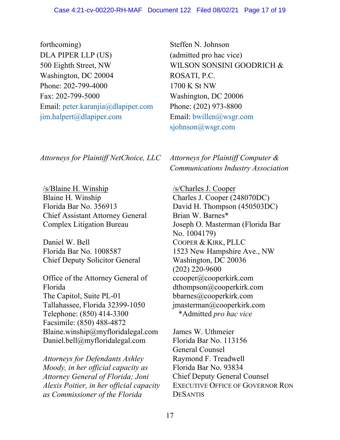forthcoming) DLA PIPER LLP (US) 500 Eighth Street, NW Washington, DC 20004 Phone: 202-799-4000 Fax: 202-799-5000 Email: peter.karanjia@dlapiper.com jim.halpert@dlapiper.com

*Attorneys for Plaintiff NetChoice, LLC Attorneys for Plaintiff Computer &* 

/s/Blaine H. Winship Blaine H. Winship Florida Bar No. 356913 Chief Assistant Attorney General Complex Litigation Bureau

Daniel W. Bell Florida Bar No. 1008587 Chief Deputy Solicitor General

Office of the Attorney General of Florida The Capitol, Suite PL-01 Tallahassee, Florida 32399-1050 Telephone: (850) 414-3300 Facsimile: (850) 488-4872 Blaine.winship@myfloridalegal.com Daniel.bell@myfloridalegal.com

*Attorneys for Defendants Ashley Moody, in her official capacity as Attorney General of Florida; Joni Alexis Poitier, in her official capacity as Commissioner of the Florida* 

Steffen N. Johnson (admitted pro hac vice) WILSON SONSINI GOODRICH & ROSATI, P.C. 1700 K St NW Washington, DC 20006 Phone: (202) 973-8800 Email: bwillen@wsgr.com sjohnson@wsgr.com

*Communications Industry Association*

/s/Charles J. Cooper Charles J. Cooper (248070DC) David H. Thompson (450503DC) Brian W. Barnes\* Joseph O. Masterman (Florida Bar No. 1004179) COOPER & KIRK, PLLC 1523 New Hampshire Ave., NW Washington, DC 20036 (202) 220-9600 ccooper@cooperkirk.com dthompson@cooperkirk.com bbarnes@cooperkirk.com jmasterman@cooperkirk.com \*Admitted *pro hac vice* 

James W. Uthmeier Florida Bar No. 113156 General Counsel Raymond F. Treadwell Florida Bar No. 93834 Chief Deputy General Counsel EXECUTIVE OFFICE OF GOVERNOR RON **DESANTIS**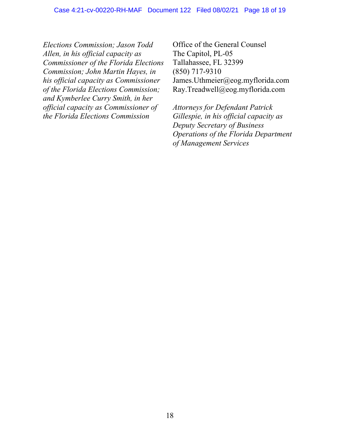*Elections Commission; Jason Todd Allen, in his official capacity as Commissioner of the Florida Elections Commission; John Martin Hayes, in his official capacity as Commissioner of the Florida Elections Commission; and Kymberlee Curry Smith, in her official capacity as Commissioner of the Florida Elections Commission* 

Office of the General Counsel The Capitol, PL-05 Tallahassee, FL 32399 (850) 717-9310 James.Uthmeier@eog.myflorida.com Ray.Treadwell@eog.myflorida.com

*Attorneys for Defendant Patrick Gillespie, in his official capacity as Deputy Secretary of Business Operations of the Florida Department of Management Services*